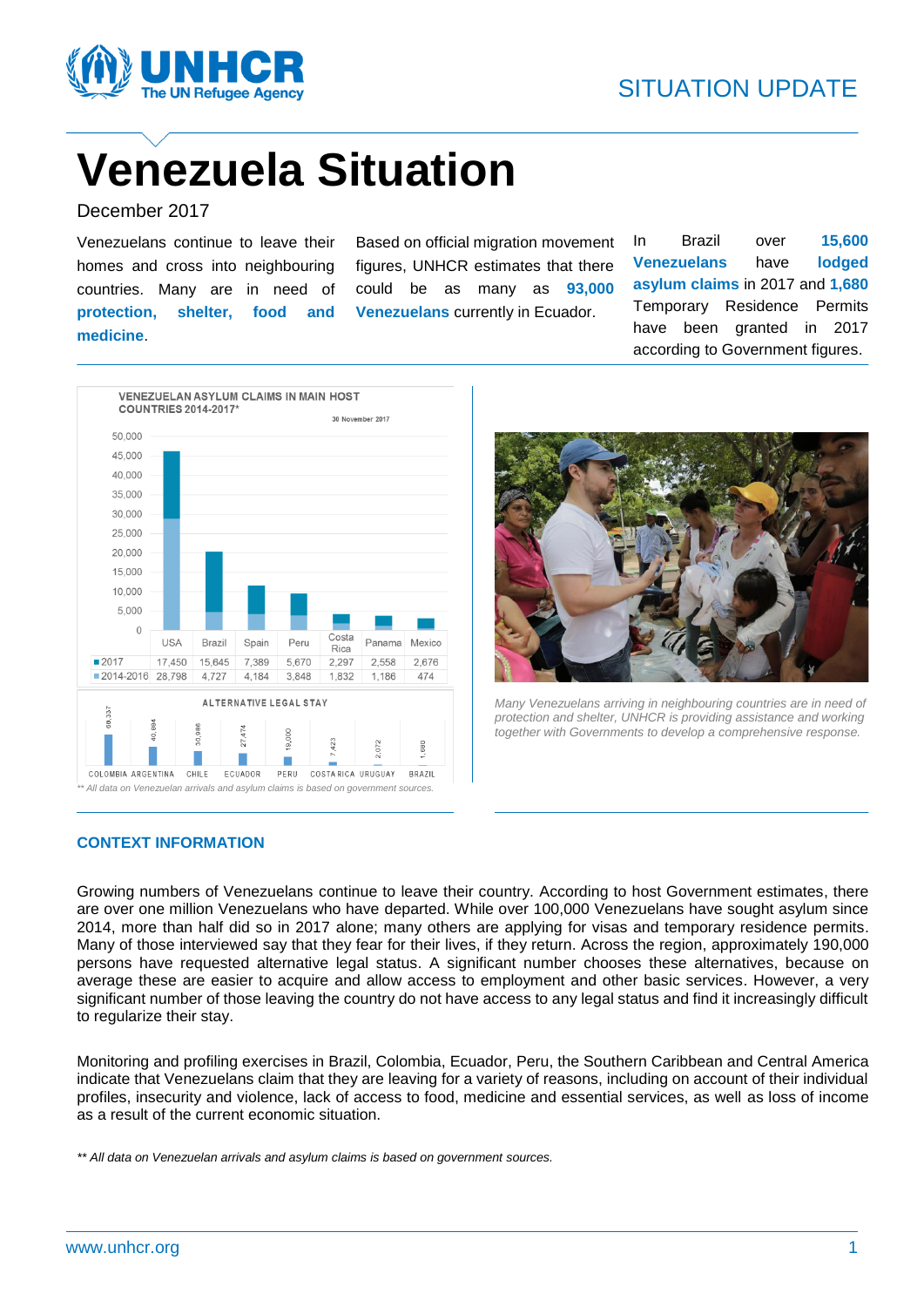

# **Venezuela Situation**

December 2017

Venezuelans continue to leave their homes and cross into neighbouring countries. Many are in need of **protection, shelter, food and medicine**.

Based on official migration movement figures, UNHCR estimates that there could be as many as **93,000 Venezuelans** currently in Ecuador.

In Brazil over **15,600 Venezuelans** have **lodged asylum claims** in 2017 and **1,680** Temporary Residence Permits have been granted in 2017 according to Government figures.





*Many Venezuelans arriving in neighbouring countries are in need of protection and shelter, UNHCR is providing assistance and working together with Governments to develop a comprehensive response.* 

#### **CONTEXT INFORMATION**

Growing numbers of Venezuelans continue to leave their country. According to host Government estimates, there are over one million Venezuelans who have departed. While over 100,000 Venezuelans have sought asylum since 2014, more than half did so in 2017 alone; many others are applying for visas and temporary residence permits. Many of those interviewed say that they fear for their lives, if they return. Across the region, approximately 190,000 persons have requested alternative legal status. A significant number chooses these alternatives, because on average these are easier to acquire and allow access to employment and other basic services. However, a very significant number of those leaving the country do not have access to any legal status and find it increasingly difficult to regularize their stay.

Monitoring and profiling exercises in Brazil, Colombia, Ecuador, Peru, the Southern Caribbean and Central America indicate that Venezuelans claim that they are leaving for a variety of reasons, including on account of their individual profiles, insecurity and violence, lack of access to food, medicine and essential services, as well as loss of income as a result of the current economic situation.

*\*\* All data on Venezuelan arrivals and asylum claims is based on government sources.*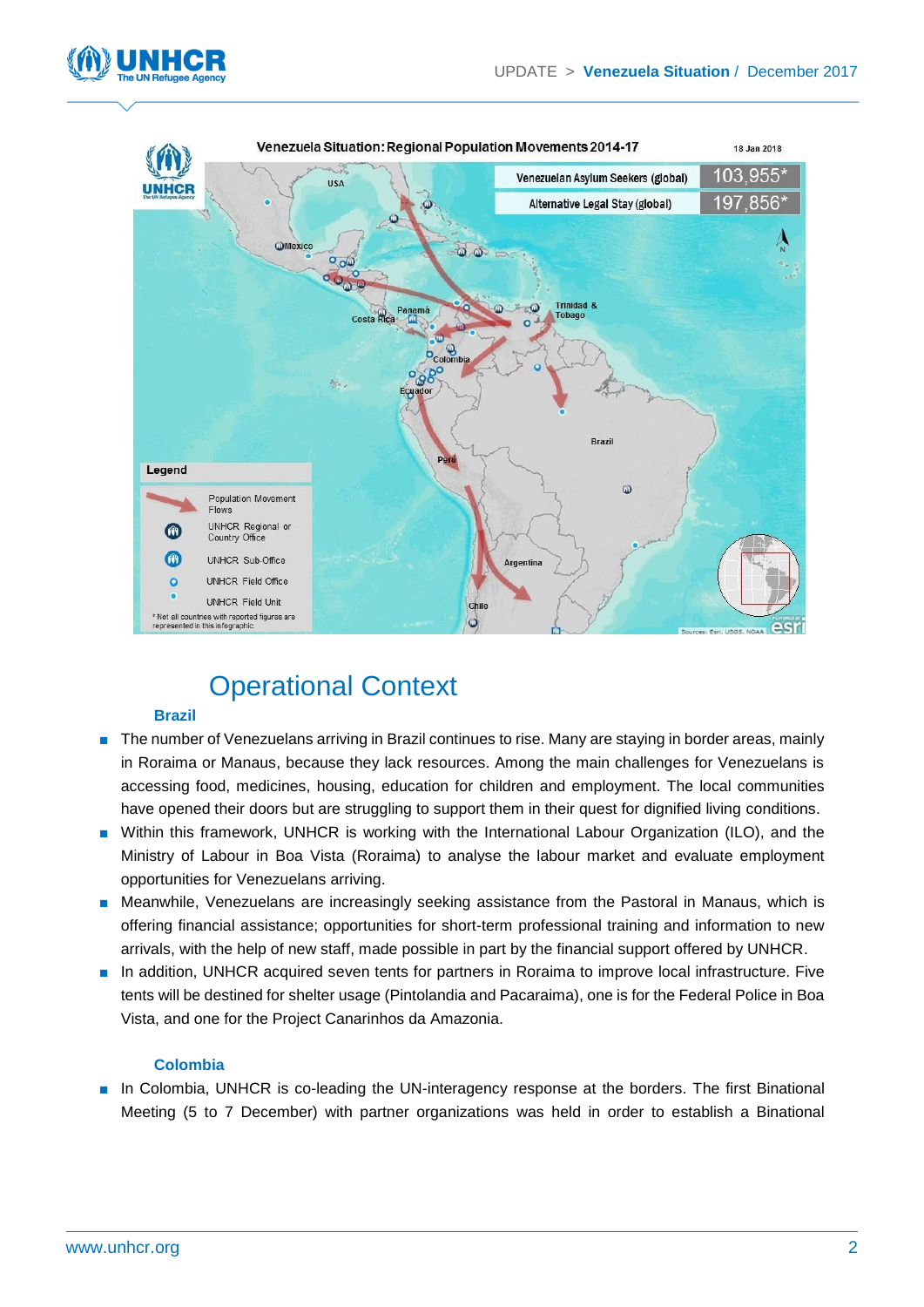



### Operational Context

#### **Brazil**

- The number of Venezuelans arriving in Brazil continues to rise. Many are staying in border areas, mainly in Roraima or Manaus, because they lack resources. Among the main challenges for Venezuelans is accessing food, medicines, housing, education for children and employment. The local communities have opened their doors but are struggling to support them in their quest for dignified living conditions.
- Within this framework, UNHCR is working with the International Labour Organization (ILO), and the Ministry of Labour in Boa Vista (Roraima) to analyse the labour market and evaluate employment opportunities for Venezuelans arriving.
- Meanwhile, Venezuelans are increasingly seeking assistance from the Pastoral in Manaus, which is offering financial assistance; opportunities for short-term professional training and information to new arrivals, with the help of new staff, made possible in part by the financial support offered by UNHCR.
- In addition, UNHCR acquired seven tents for partners in Roraima to improve local infrastructure. Five tents will be destined for shelter usage (Pintolandia and Pacaraima), one is for the Federal Police in Boa Vista, and one for the Project Canarinhos da Amazonia.

#### **Colombia**

■ In Colombia, UNHCR is co-leading the UN-interagency response at the borders. The first Binational Meeting (5 to 7 December) with partner organizations was held in order to establish a Binational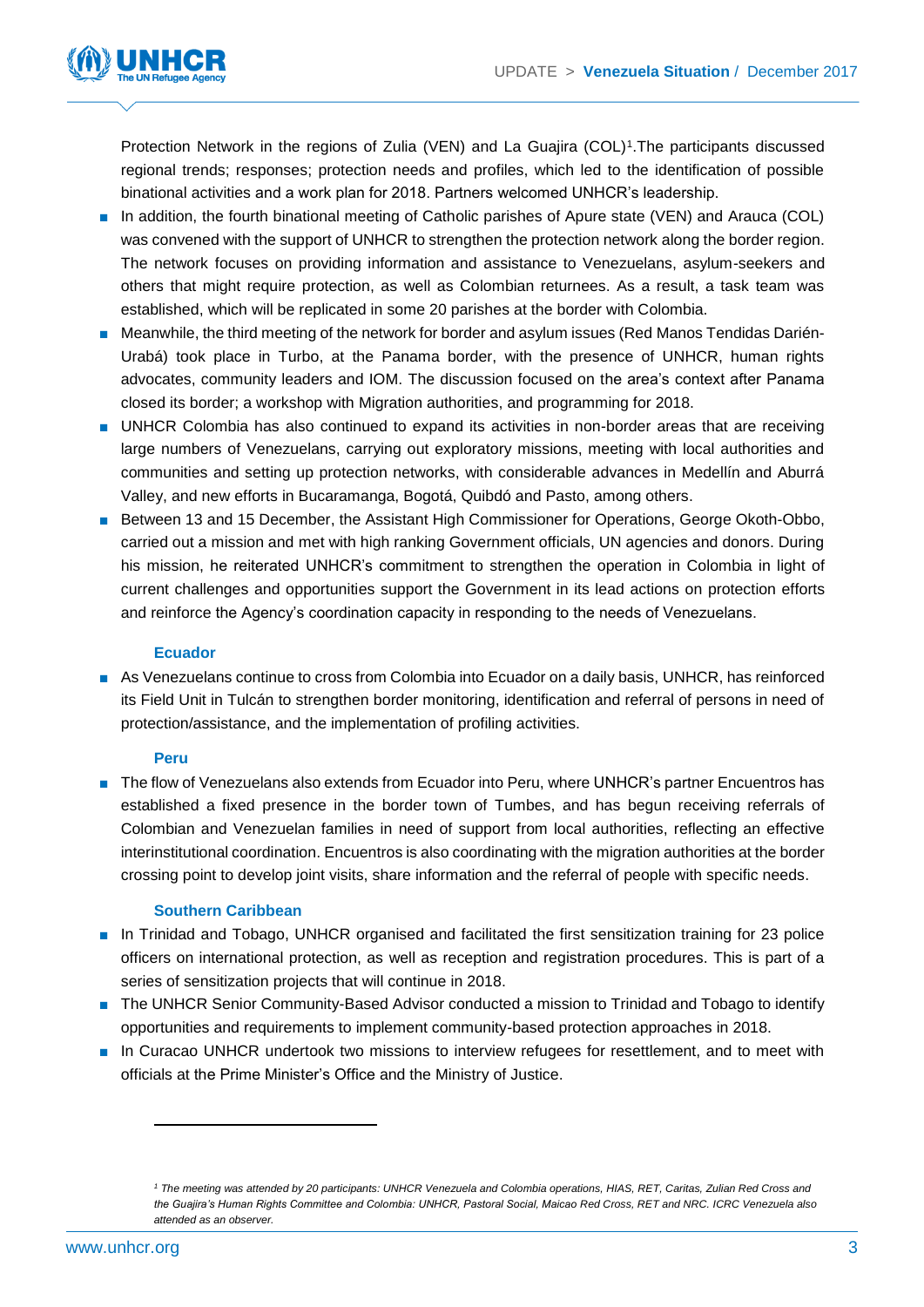

Protection Network in the regions of Zulia (VEN) and La Guajira (COL)<sup>1</sup>. The participants discussed regional trends; responses; protection needs and profiles, which led to the identification of possible binational activities and a work plan for 2018. Partners welcomed UNHCR's leadership.

- In addition, the fourth binational meeting of Catholic parishes of Apure state (VEN) and Arauca (COL) was convened with the support of UNHCR to strengthen the protection network along the border region. The network focuses on providing information and assistance to Venezuelans, asylum-seekers and others that might require protection, as well as Colombian returnees. As a result, a task team was established, which will be replicated in some 20 parishes at the border with Colombia.
- Meanwhile, the third meeting of the network for border and asylum issues (Red Manos Tendidas Darién-Urabá) took place in Turbo, at the Panama border, with the presence of UNHCR, human rights advocates, community leaders and IOM. The discussion focused on the area's context after Panama closed its border; a workshop with Migration authorities, and programming for 2018.
- UNHCR Colombia has also continued to expand its activities in non-border areas that are receiving large numbers of Venezuelans, carrying out exploratory missions, meeting with local authorities and communities and setting up protection networks, with considerable advances in Medellín and Aburrá Valley, and new efforts in Bucaramanga, Bogotá, Quibdó and Pasto, among others.
- Between 13 and 15 December, the Assistant High Commissioner for Operations, George Okoth-Obbo, carried out a mission and met with high ranking Government officials, UN agencies and donors. During his mission, he reiterated UNHCR's commitment to strengthen the operation in Colombia in light of current challenges and opportunities support the Government in its lead actions on protection efforts and reinforce the Agency's coordination capacity in responding to the needs of Venezuelans.

#### **Ecuador**

■ As Venezuelans continue to cross from Colombia into Ecuador on a daily basis, UNHCR, has reinforced its Field Unit in Tulcán to strengthen border monitoring, identification and referral of persons in need of protection/assistance, and the implementation of profiling activities.

#### **Peru**

■ The flow of Venezuelans also extends from Ecuador into Peru, where UNHCR's partner Encuentros has established a fixed presence in the border town of Tumbes, and has begun receiving referrals of Colombian and Venezuelan families in need of support from local authorities, reflecting an effective interinstitutional coordination. Encuentros is also coordinating with the migration authorities at the border crossing point to develop joint visits, share information and the referral of people with specific needs.

#### **Southern Caribbean**

- In Trinidad and Tobago, UNHCR organised and facilitated the first sensitization training for 23 police officers on international protection, as well as reception and registration procedures. This is part of a series of sensitization projects that will continue in 2018.
- The UNHCR Senior Community-Based Advisor conducted a mission to Trinidad and Tobago to identify opportunities and requirements to implement community-based protection approaches in 2018.
- In Curacao UNHCR undertook two missions to interview refugees for resettlement, and to meet with officials at the Prime Minister's Office and the Ministry of Justice.

*<sup>1</sup> The meeting was attended by 20 participants: UNHCR Venezuela and Colombia operations, HIAS, RET, Caritas, Zulian Red Cross and the Guajira's Human Rights Committee and Colombia: UNHCR, Pastoral Social, Maicao Red Cross, RET and NRC. ICRC Venezuela also attended as an observer.*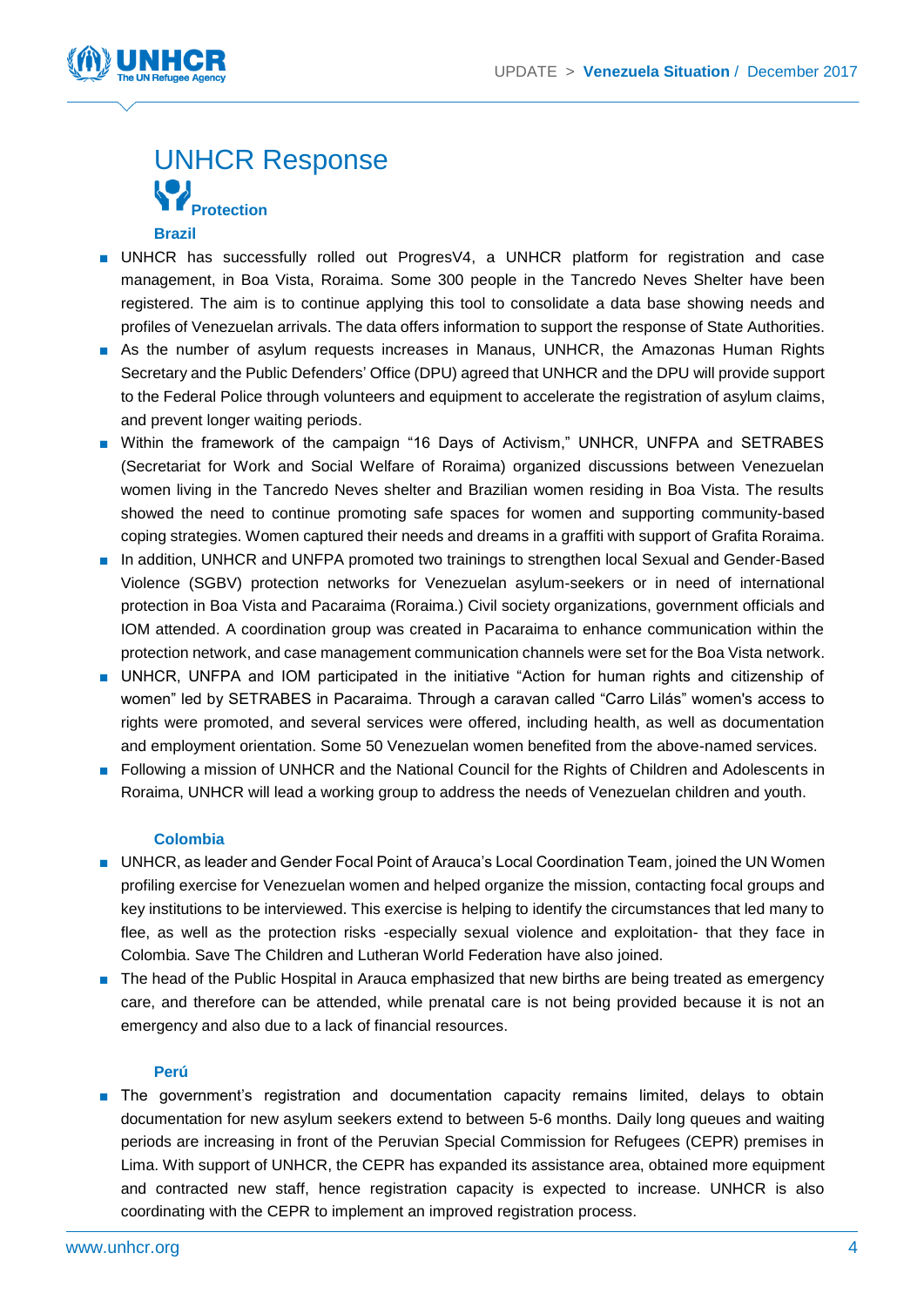

## UNHCR Response **Protection**

#### **Brazil**

- UNHCR has successfully rolled out ProgresV4, a UNHCR platform for registration and case management, in Boa Vista, Roraima. Some 300 people in the Tancredo Neves Shelter have been registered. The aim is to continue applying this tool to consolidate a data base showing needs and profiles of Venezuelan arrivals. The data offers information to support the response of State Authorities.
- As the number of asylum requests increases in Manaus, UNHCR, the Amazonas Human Rights Secretary and the Public Defenders' Office (DPU) agreed that UNHCR and the DPU will provide support to the Federal Police through volunteers and equipment to accelerate the registration of asylum claims, and prevent longer waiting periods.
- Within the framework of the campaign "16 Days of Activism," UNHCR, UNFPA and SETRABES (Secretariat for Work and Social Welfare of Roraima) organized discussions between Venezuelan women living in the Tancredo Neves shelter and Brazilian women residing in Boa Vista. The results showed the need to continue promoting safe spaces for women and supporting community-based coping strategies. Women captured their needs and dreams in a graffiti with support of Grafita Roraima.
- In addition, UNHCR and UNFPA promoted two trainings to strengthen local Sexual and Gender-Based Violence (SGBV) protection networks for Venezuelan asylum-seekers or in need of international protection in Boa Vista and Pacaraima (Roraima.) Civil society organizations, government officials and IOM attended. A coordination group was created in Pacaraima to enhance communication within the protection network, and case management communication channels were set for the Boa Vista network.
- UNHCR, UNFPA and IOM participated in the initiative "Action for human rights and citizenship of women" led by SETRABES in Pacaraima. Through a caravan called "Carro Lilás" women's access to rights were promoted, and several services were offered, including health, as well as documentation and employment orientation. Some 50 Venezuelan women benefited from the above-named services.
- Following a mission of UNHCR and the National Council for the Rights of Children and Adolescents in Roraima, UNHCR will lead a working group to address the needs of Venezuelan children and youth.

#### **Colombia**

- UNHCR, as leader and Gender Focal Point of Arauca's Local Coordination Team, joined the UN Women profiling exercise for Venezuelan women and helped organize the mission, contacting focal groups and key institutions to be interviewed. This exercise is helping to identify the circumstances that led many to flee, as well as the protection risks -especially sexual violence and exploitation- that they face in Colombia. Save The Children and Lutheran World Federation have also joined.
- The head of the Public Hospital in Arauca emphasized that new births are being treated as emergency care, and therefore can be attended, while prenatal care is not being provided because it is not an emergency and also due to a lack of financial resources.

#### **Perú**

■ The government's registration and documentation capacity remains limited, delays to obtain documentation for new asylum seekers extend to between 5-6 months. Daily long queues and waiting periods are increasing in front of the Peruvian Special Commission for Refugees (CEPR) premises in Lima. With support of UNHCR, the CEPR has expanded its assistance area, obtained more equipment and contracted new staff, hence registration capacity is expected to increase. UNHCR is also coordinating with the CEPR to implement an improved registration process.